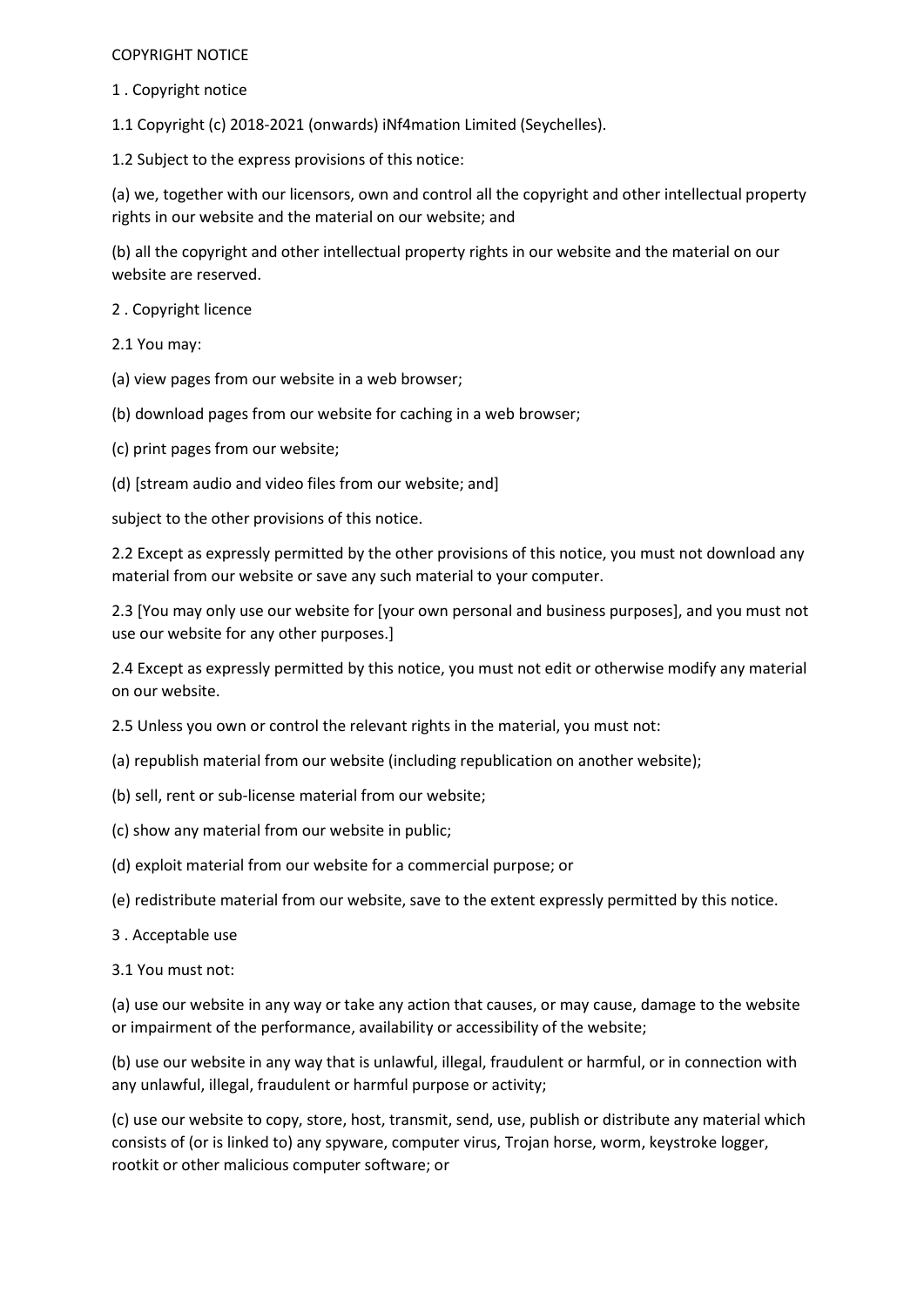## COPYRIGHT NOTICE

1 . Copyright notice

1.1 Copyright (c) 2018-2021 (onwards) iNf4mation Limited (Seychelles).

1.2 Subject to the express provisions of this notice:

(a) we, together with our licensors, own and control all the copyright and other intellectual property rights in our website and the material on our website; and

(b) all the copyright and other intellectual property rights in our website and the material on our website are reserved.

2 . Copyright licence

2.1 You may:

- (a) view pages from our website in a web browser;
- (b) download pages from our website for caching in a web browser;
- (c) print pages from our website;
- (d) [stream audio and video files from our website; and]

subject to the other provisions of this notice.

2.2 Except as expressly permitted by the other provisions of this notice, you must not download any material from our website or save any such material to your computer.

2.3 [You may only use our website for [your own personal and business purposes], and you must not use our website for any other purposes.]

2.4 Except as expressly permitted by this notice, you must not edit or otherwise modify any material on our website.

2.5 Unless you own or control the relevant rights in the material, you must not:

(a) republish material from our website (including republication on another website);

- (b) sell, rent or sub-license material from our website;
- (c) show any material from our website in public;
- (d) exploit material from our website for a commercial purpose; or
- (e) redistribute material from our website, save to the extent expressly permitted by this notice.
- 3 . Acceptable use

3.1 You must not:

(a) use our website in any way or take any action that causes, or may cause, damage to the website or impairment of the performance, availability or accessibility of the website;

(b) use our website in any way that is unlawful, illegal, fraudulent or harmful, or in connection with any unlawful, illegal, fraudulent or harmful purpose or activity;

(c) use our website to copy, store, host, transmit, send, use, publish or distribute any material which consists of (or is linked to) any spyware, computer virus, Trojan horse, worm, keystroke logger, rootkit or other malicious computer software; or